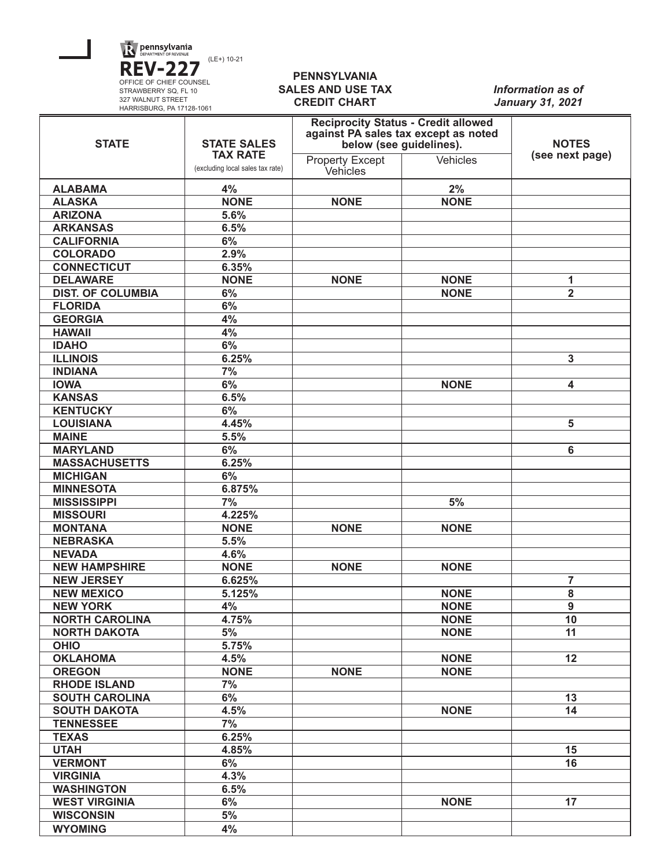

HARRISBURG, PA 17128-1061

## **PENNSYLVANIA SALES AND USE TAX CREDIT CHART**

## *Information as of January 31, 2021*

| <b>STATE</b>             | <b>STATE SALES</b><br><b>TAX RATE</b><br>(excluding local sales tax rate) | <b>Reciprocity Status - Credit allowed</b><br>against PA sales tax except as noted<br>below (see guidelines). |             | <b>NOTES</b>            |
|--------------------------|---------------------------------------------------------------------------|---------------------------------------------------------------------------------------------------------------|-------------|-------------------------|
|                          |                                                                           | <b>Property Except</b><br>Vehicles                                                                            | Vehicles    | (see next page)         |
| <b>ALABAMA</b>           | 4%                                                                        |                                                                                                               | 2%          |                         |
| <b>ALASKA</b>            | <b>NONE</b>                                                               | <b>NONE</b>                                                                                                   | <b>NONE</b> |                         |
| <b>ARIZONA</b>           | 5.6%                                                                      |                                                                                                               |             |                         |
| <b>ARKANSAS</b>          | 6.5%                                                                      |                                                                                                               |             |                         |
| <b>CALIFORNIA</b>        | 6%                                                                        |                                                                                                               |             |                         |
| <b>COLORADO</b>          | 2.9%                                                                      |                                                                                                               |             |                         |
| <b>CONNECTICUT</b>       | 6.35%                                                                     |                                                                                                               |             |                         |
| <b>DELAWARE</b>          | <b>NONE</b>                                                               | <b>NONE</b>                                                                                                   | <b>NONE</b> | 1                       |
| <b>DIST. OF COLUMBIA</b> | 6%                                                                        |                                                                                                               | <b>NONE</b> | $\overline{\mathbf{2}}$ |
| <b>FLORIDA</b>           | 6%                                                                        |                                                                                                               |             |                         |
| <b>GEORGIA</b>           | 4%                                                                        |                                                                                                               |             |                         |
| <b>HAWAII</b>            | 4%                                                                        |                                                                                                               |             |                         |
| <b>IDAHO</b>             | 6%                                                                        |                                                                                                               |             |                         |
| <b>ILLINOIS</b>          | 6.25%                                                                     |                                                                                                               |             | 3                       |
| <b>INDIANA</b>           | 7%                                                                        |                                                                                                               |             |                         |
| <b>IOWA</b>              | 6%                                                                        |                                                                                                               | <b>NONE</b> | $\overline{\mathbf{4}}$ |
| <b>KANSAS</b>            | 6.5%                                                                      |                                                                                                               |             |                         |
| <b>KENTUCKY</b>          | 6%                                                                        |                                                                                                               |             |                         |
| <b>LOUISIANA</b>         | 4.45%                                                                     |                                                                                                               |             | 5                       |
| <b>MAINE</b>             | 5.5%                                                                      |                                                                                                               |             |                         |
| <b>MARYLAND</b>          | 6%                                                                        |                                                                                                               |             | 6                       |
| <b>MASSACHUSETTS</b>     | 6.25%                                                                     |                                                                                                               |             |                         |
| <b>MICHIGAN</b>          | 6%                                                                        |                                                                                                               |             |                         |
| <b>MINNESOTA</b>         | 6.875%                                                                    |                                                                                                               |             |                         |
| <b>MISSISSIPPI</b>       | 7%                                                                        |                                                                                                               | 5%          |                         |
| <b>MISSOURI</b>          | 4.225%                                                                    |                                                                                                               |             |                         |
| <b>MONTANA</b>           | <b>NONE</b>                                                               | <b>NONE</b>                                                                                                   | <b>NONE</b> |                         |
| <b>NEBRASKA</b>          | 5.5%                                                                      |                                                                                                               |             |                         |
| <b>NEVADA</b>            | 4.6%                                                                      |                                                                                                               |             |                         |
| <b>NEW HAMPSHIRE</b>     | <b>NONE</b>                                                               | <b>NONE</b>                                                                                                   | <b>NONE</b> |                         |
| <b>NEW JERSEY</b>        | 6.625%                                                                    |                                                                                                               |             | $\overline{7}$          |
| <b>NEW MEXICO</b>        | 5.125%                                                                    |                                                                                                               | <b>NONE</b> | 8                       |
| <b>NEW YORK</b>          | 4%                                                                        |                                                                                                               | <b>NONE</b> | $\overline{9}$          |
| <b>NORTH CAROLINA</b>    | 4.75%                                                                     |                                                                                                               | <b>NONE</b> | 10                      |
| <b>NORTH DAKOTA</b>      | 5%                                                                        |                                                                                                               | <b>NONE</b> | 11                      |
| <b>OHIO</b>              | 5.75%                                                                     |                                                                                                               |             |                         |
| <b>OKLAHOMA</b>          | 4.5%                                                                      |                                                                                                               | <b>NONE</b> | 12                      |
| <b>OREGON</b>            | <b>NONE</b>                                                               | <b>NONE</b>                                                                                                   | <b>NONE</b> |                         |
| <b>RHODE ISLAND</b>      | 7%                                                                        |                                                                                                               |             |                         |
| <b>SOUTH CAROLINA</b>    | 6%                                                                        |                                                                                                               |             | 13                      |
| <b>SOUTH DAKOTA</b>      | 4.5%                                                                      |                                                                                                               | <b>NONE</b> | 14                      |
| <b>TENNESSEE</b>         | 7%                                                                        |                                                                                                               |             |                         |
| <b>TEXAS</b>             | 6.25%                                                                     |                                                                                                               |             |                         |
| <b>UTAH</b>              | 4.85%                                                                     |                                                                                                               |             | 15                      |
| <b>VERMONT</b>           | 6%                                                                        |                                                                                                               |             | 16                      |
| <b>VIRGINIA</b>          | 4.3%                                                                      |                                                                                                               |             |                         |
| <b>WASHINGTON</b>        | 6.5%                                                                      |                                                                                                               |             |                         |
| <b>WEST VIRGINIA</b>     | 6%                                                                        |                                                                                                               | <b>NONE</b> | 17                      |
| <b>WISCONSIN</b>         | 5%                                                                        |                                                                                                               |             |                         |
| <b>WYOMING</b>           | 4%                                                                        |                                                                                                               |             |                         |